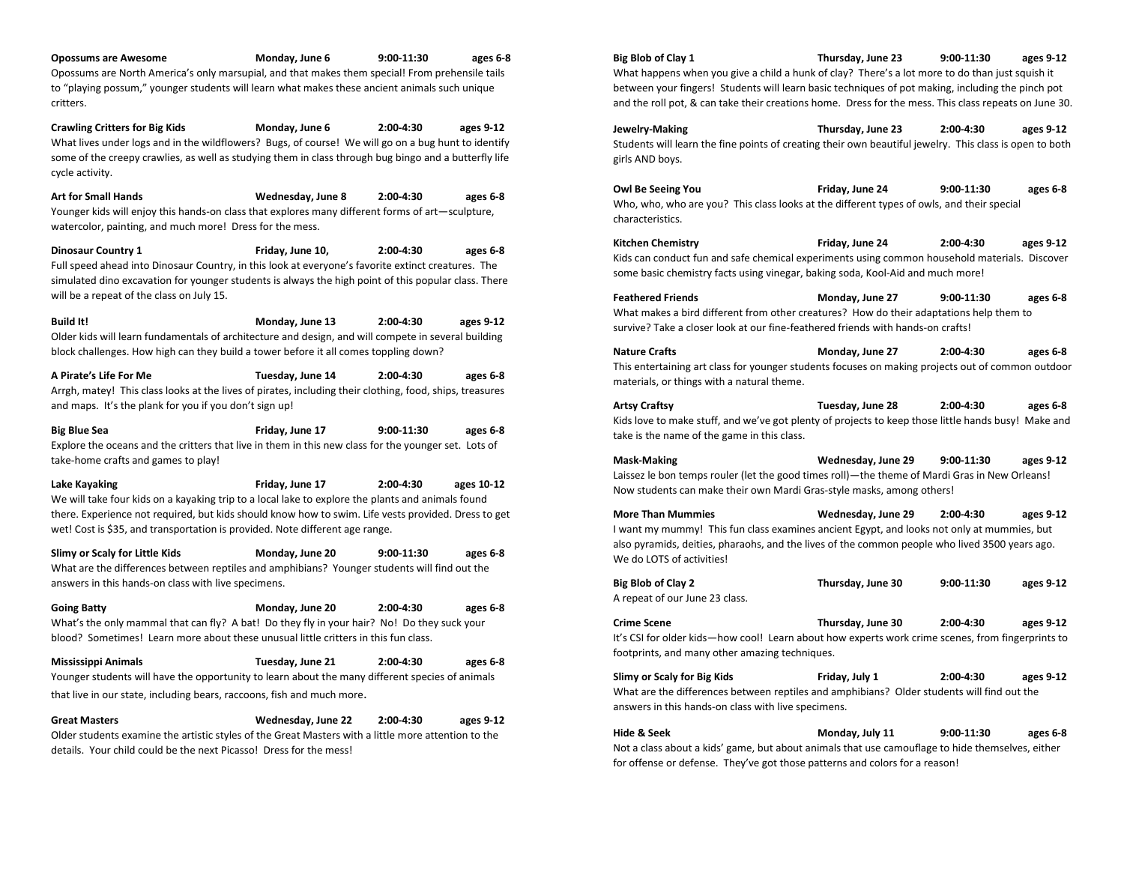**Opossums are Awesome Monday, June 6 9:00-11:30 ages 6-8**  Opossums are North America's only marsupial, and that makes them special! From prehensile tails to "playing possum," younger students will learn what makes these ancient animals such unique critters.

**Crawling Critters for Big Kids Monday, June 6 2:00-4:30 ages 9-12**  What lives under logs and in the wildflowers? Bugs, of course! We will go on a bug hunt to identify some of the creepy crawlies, as well as studying them in class through bug bingo and a butterfly life cycle activity.

**Art for Small Hands Wednesday, June 8 2:00-4:30 ages 6-8**  Younger kids will enjoy this hands-on class that explores many different forms of art—sculpture, watercolor, painting, and much more! Dress for the mess.

**Dinosaur Country 1 Friday, June 10, 2:00-4:30 ages 6-8**  Full speed ahead into Dinosaur Country, in this look at everyone's favorite extinct creatures. The simulated dino excavation for younger students is always the high point of this popular class. There will be a repeat of the class on July 15.

**Build It! Monday, June 13 2:00-4:30 ages 9-12**  Older kids will learn fundamentals of architecture and design, and will compete in several building block challenges. How high can they build a tower before it all comes toppling down?

**A Pirate's Life For Me Tuesday, June 14 2:00-4:30 ages 6-8**  Arrgh, matey! This class looks at the lives of pirates, including their clothing, food, ships, treasures and maps. It's the plank for you if you don't sign up!

**Big Blue Sea Friday, June 17 9:00-11:30 ages 6-8**  Explore the oceans and the critters that live in them in this new class for the younger set. Lots of take-home crafts and games to play!

**Lake Kayaking Friday, June 17 2:00-4:30 ages 10-12** We will take four kids on a kayaking trip to a local lake to explore the plants and animals found there. Experience not required, but kids should know how to swim. Life vests provided. Dress to get wet! Cost is \$35, and transportation is provided. Note different age range.

**Slimy or Scaly for Little Kids Monday, June 20 9:00-11:30 ages 6-8**  What are the differences between reptiles and amphibians? Younger students will find out the answers in this hands-on class with live specimens.

**Going Batty Monday, June 20 2:00-4:30 ages 6-8**  What's the only mammal that can fly? A bat! Do they fly in your hair? No! Do they suck your blood? Sometimes! Learn more about these unusual little critters in this fun class.

**Mississippi Animals Tuesday, June 21 2:00-4:30 ages 6-8**  Younger students will have the opportunity to learn about the many different species of animals that live in our state, including bears, raccoons, fish and much more.

**Great Masters Wednesday, June 22 2:00-4:30 ages 9-12**  Older students examine the artistic styles of the Great Masters with a little more attention to the details. Your child could be the next Picasso! Dress for the mess!

**Big Blob of Clay 1 Thursday, June 23 9:00-11:30 ages 9-12** What happens when you give a child a hunk of clay? There's a lot more to do than just squish it between your fingers! Students will learn basic techniques of pot making, including the pinch pot and the roll pot, & can take their creations home. Dress for the mess. This class repeats on June 30. **Jewelry-Making Thursday, June 23 2:00-4:30 ages 9-12** Students will learn the fine points of creating their own beautiful jewelry. This class is open to both girls AND boys. **Owl Be Seeing You Friday, June 24 9:00-11:30 ages 6-8** Who, who, who are you? This class looks at the different types of owls, and their special characteristics. **Kitchen Chemistry Friday, June 24 2:00-4:30 ages 9-12** Kids can conduct fun and safe chemical experiments using common household materials. Discover some basic chemistry facts using vinegar, baking soda, Kool-Aid and much more! **Feathered Friends Monday, June 27 9:00-11:30 ages 6-8** What makes a bird different from other creatures? How do their adaptations help them to survive? Take a closer look at our fine-feathered friends with hands-on crafts! **Nature Crafts Monday, June 27 2:00-4:30 ages 6-8** This entertaining art class for younger students focuses on making projects out of common outdoor materials, or things with a natural theme. **Artsy Craftsy Tuesday, June 28 2:00-4:30 ages 6-8** Kids love to make stuff, and we've got plenty of projects to keep those little hands busy! Make and take is the name of the game in this class. **Mask-Making Wednesday, June 29 9:00-11:30 ages 9-12** Laissez le bon temps rouler (let the good times roll)—the theme of Mardi Gras in New Orleans! Now students can make their own Mardi Gras-style masks, among others! **More Than Mummies Wednesday, June 29 2:00-4:30 ages 9-12** I want my mummy! This fun class examines ancient Egypt, and looks not only at mummies, but also pyramids, deities, pharaohs, and the lives of the common people who lived 3500 years ago. We do LOTS of activities! **Big Blob of Clay 2 Thursday, June 30 9:00-11:30 ages 9-12** A repeat of our June 23 class. **Crime Scene Thursday, June 30 2:00-4:30 ages 9-12** It's CSI for older kids—how cool! Learn about how experts work crime scenes, from fingerprints to footprints, and many other amazing techniques.

**Slimy or Scaly for Big Kids Friday, July 1 2:00-4:30 ages 9-12** What are the differences between reptiles and amphibians? Older students will find out the answers in this hands-on class with live specimens.

**Hide & Seek Monday, July 11 9:00-11:30 ages 6-8** Not a class about a kids' game, but about animals that use camouflage to hide themselves, either for offense or defense. They've got those patterns and colors for a reason!